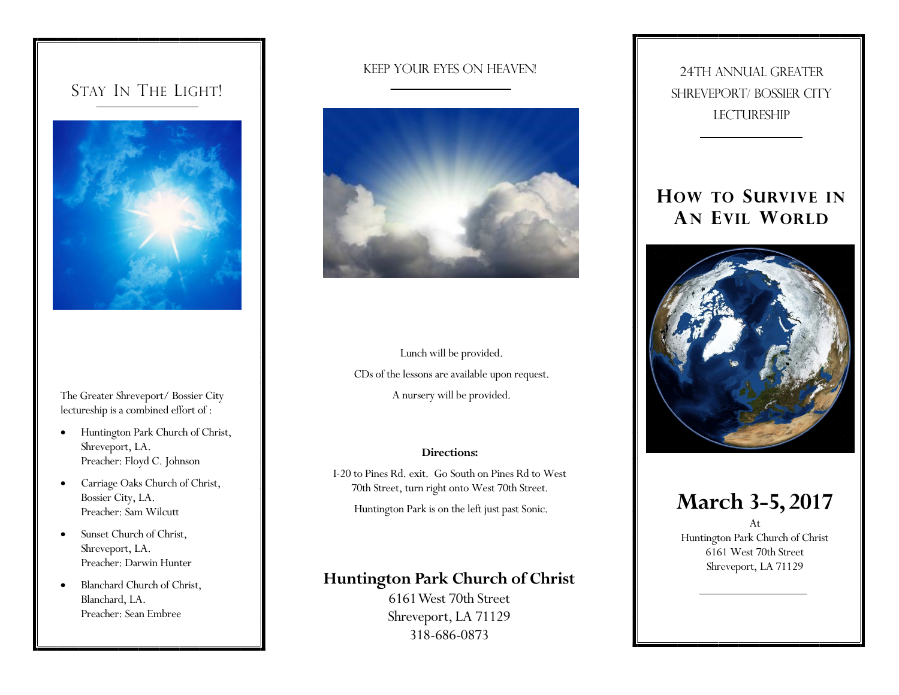### STAY IN THE LIGHT!



The Greater Shreveport/ Bossier City lectureship is a combined effort of :

- Huntington Park Church of Christ, Shreveport, LA. Preacher: Floyd C. Johnson
- Carriage Oaks Church of Christ, Bossier City, LA. Preacher: Sam Wilcutt
- Sunset Church of Christ, Shreveport, LA. Preacher: Darwin Hunter
- Blanchard Church of Christ, Blanchard, LA. Preacher: Sean Embree

#### Keep Your Eyes on Heaven!



Lunch will be provided. CDs of the lessons are available upon request. A nursery will be provided.

#### **Directions:**

I-20 to Pines Rd. exit. Go South on Pines Rd to West 70th Street, turn right onto West 70th Street.

Huntington Park is on the left just past Sonic.

### **Huntington Park Church of Christ**

6161 West 70th Street Shreveport, LA 71129 318-686-0873

24TH ANNUAL GREATER SHREVEPORT/ BOSSIER CITY **LECTURESHIP** 

## **HOW TO SURVIVE IN AN EVIL WORLD**



## **March 3-5, 2017**

At Huntington Park Church of Christ 6161 West 70th Street Shreveport, LA 71129